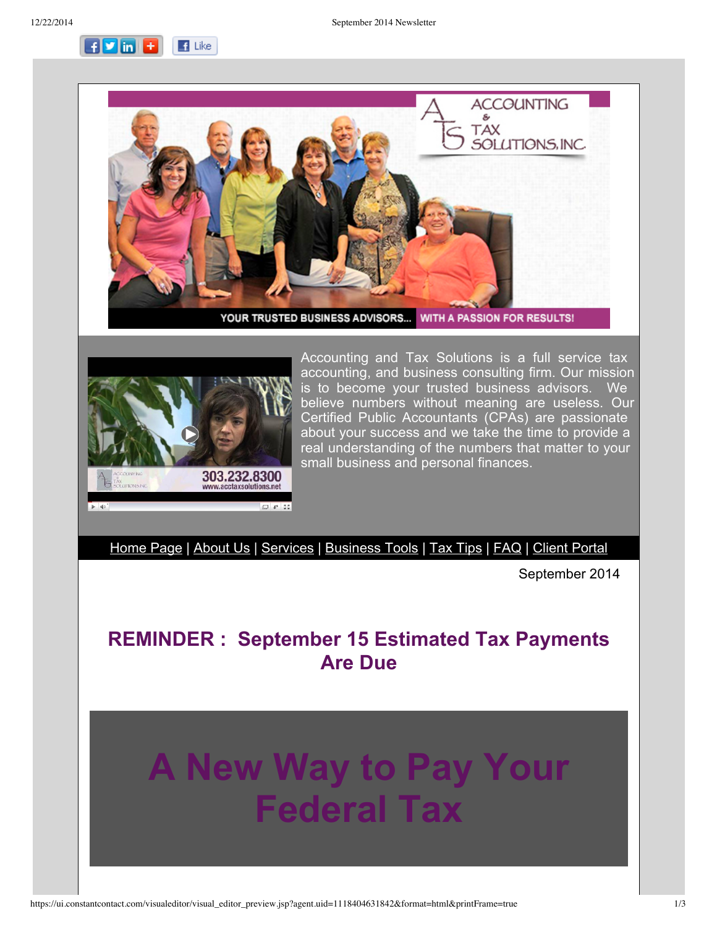**FDin E**  $\blacksquare$  Like





Accounting and Tax Solutions is a full service tax accounting, and business consulting firm. Our mission is to become your trusted business advisors. We believe numbers without meaning are useless. Our Certified Public Accountants (CPAs) are passionate about your success and we take the time to provide a real understanding of the numbers that matter to your small business and personal finances.

[Home](http://r20.rs6.net/tn.jsp?e=001oLggd6_MDf88GC_yFFeydeHHHCvWA_vh9JeH8IrRTxVwcSWejBH2VV7WyyeP8R5_1OmE8U1E5TxRl_d3TDoVWsahsH-2IpFKT3SoQ5iMRBejYbtHbLgB_A==) Page | [About](http://r20.rs6.net/tn.jsp?e=001oLggd6_MDf88GC_yFFeydeHHHCvWA_vh9JeH8IrRTxVwcSWejBH2VV7WyyeP8R5_1OmE8U1E5TxRl_d3TDoVWsahsH-2IpFKT3SoQ5iMRBdCgERmjmL_9P-FD46lyOjo) Us | [Services](http://r20.rs6.net/tn.jsp?e=001oLggd6_MDf88GC_yFFeydeHHHCvWA_vh9JeH8IrRTxVwcSWejBH2VV7WyyeP8R5_1OmE8U1E5TxRl_d3TDoVWsahsH-2IpFKT3SoQ5iMRBcpsoHRT-DfSXkHjQd0ixLI) | [Business](http://r20.rs6.net/tn.jsp?e=001oLggd6_MDf88GC_yFFeydeHHHCvWA_vh9JeH8IrRTxVwcSWejBH2VV7WyyeP8R5_1OmE8U1E5TxRl_d3TDoVWsahsH-2IpFKT3SoQ5iMRBd2RcIGPy7duHmeQBlHZ_y81tmzkEg3mmc=) Tools | Tax [Tips](http://r20.rs6.net/tn.jsp?e=001oLggd6_MDf88GC_yFFeydeHHHCvWA_vh9JeH8IrRTxVwcSWejBH2VV7WyyeP8R5_1OmE8U1E5TxRl_d3TDoVWsahsH-2IpFKT3SoQ5iMRBdwUpbPCEn0XWrvb1zjtQ2j) | [FAQ](http://r20.rs6.net/tn.jsp?e=001oLggd6_MDf88GC_yFFeydeHHHCvWA_vh9JeH8IrRTxVwcSWejBH2VV7WyyeP8R5_1OmE8U1E5TxRl_d3TDoVWsahsH-2IpFKT3SoQ5iMRBfT1WtSDEDX01fwKH4wB8Z7) | Client [Portal](http://r20.rs6.net/tn.jsp?e=001oLggd6_MDf88GC_yFFeydeHHHCvWA_vh9JeH8IrRTxVwcSWejBH2VV7WyyeP8R5_1OmE8U1E5TxRl_d3TDoVWsahsH-2IpFKT3SoQ5iMRBcr3dFf5FWU9SPB5tLBKOTEPeljOw_zY2Q=)

September 2014

## **REMINDER : September 15 Estimated Tax Payments Are Due**

## **A New Way to Pay Your Federal Tax**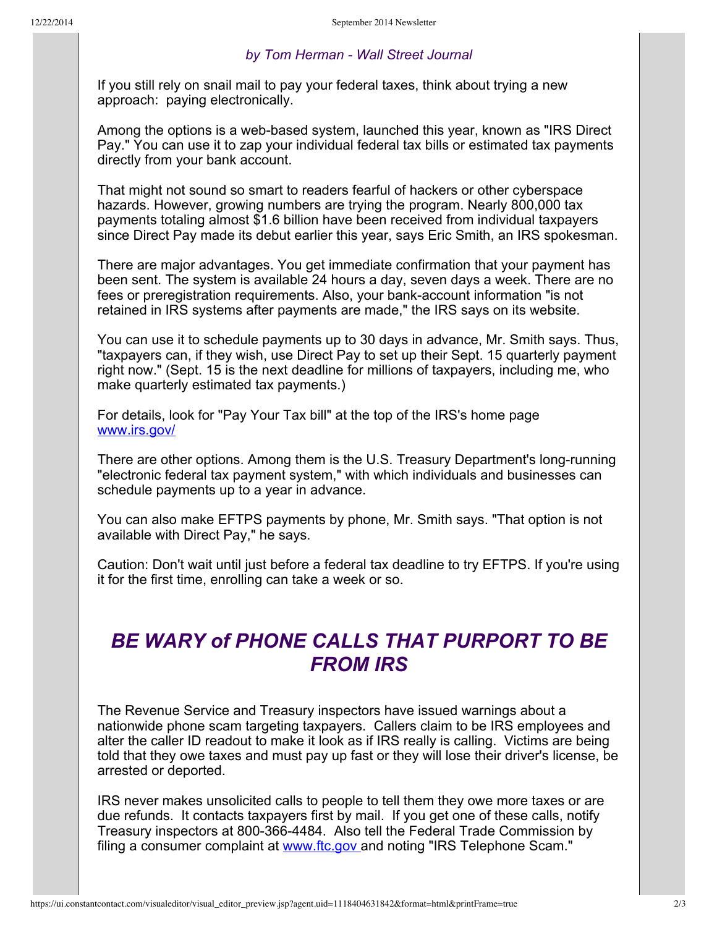## *by Tom Herman Wall Street Journal*

If you still rely on snail mail to pay your federal taxes, think about trying a new approach: paying electronically.

Among the options is a web-based system, launched this year, known as "IRS Direct" Pay." You can use it to zap your individual federal tax bills or estimated tax payments directly from your bank account.

That might not sound so smart to readers fearful of hackers or other cyberspace hazards. However, growing numbers are trying the program. Nearly 800,000 tax payments totaling almost \$1.6 billion have been received from individual taxpayers since Direct Pay made its debut earlier this year, says Eric Smith, an IRS spokesman.

There are major advantages. You get immediate confirmation that your payment has been sent. The system is available 24 hours a day, seven days a week. There are no fees or preregistration requirements. Also, your bank-account information "is not retained in IRS systems after payments are made," the IRS says on its website.

You can use it to schedule payments up to 30 days in advance, Mr. Smith says. Thus, "taxpayers can, if they wish, use Direct Pay to set up their Sept. 15 quarterly payment right now." (Sept. 15 is the next deadline for millions of taxpayers, including me, who make quarterly estimated tax payments.)

For details, look for "Pay Your Tax bill" at the top of the IRS's home page [www.irs.gov/](http://r20.rs6.net/tn.jsp?e=001oLggd6_MDf88GC_yFFeydeHHHCvWA_vh9JeH8IrRTxVwcSWejBH2VV7WyyeP8R5_1OmE8U1E5TwzXthAB72xMDa2E2pMYSYZQHsWJDKs8pM=)

There are other options. Among them is the U.S. Treasury Department's long-running "electronic federal tax payment system," with which individuals and businesses can schedule payments up to a year in advance.

You can also make EFTPS payments by phone, Mr. Smith says. "That option is not available with Direct Pay," he says.

Caution: Don't wait until just before a federal tax deadline to try EFTPS. If you're using it for the first time, enrolling can take a week or so.

## *BE WARY of PHONE CALLS THAT PURPORT TO BE FROM IRS*

The Revenue Service and Treasury inspectors have issued warnings about a nationwide phone scam targeting taxpayers. Callers claim to be IRS employees and alter the caller ID readout to make it look as if IRS really is calling. Victims are being told that they owe taxes and must pay up fast or they will lose their driver's license, be arrested or deported.

IRS never makes unsolicited calls to people to tell them they owe more taxes or are due refunds. It contacts taxpayers first by mail. If you get one of these calls, notify Treasury inspectors at 800-366-4484. Also tell the Federal Trade Commission by filing a consumer complaint at [www.ftc.gov](http://r20.rs6.net/tn.jsp?e=001oLggd6_MDf88GC_yFFeydeHHHCvWA_vh9JeH8IrRTxVwcSWejBH2VV7WyyeP8R5_1OmE8U1E5Tx6tuEZh5lZGZwRJBr8rKde0zh93hzZVAA=) and noting "IRS Telephone Scam."